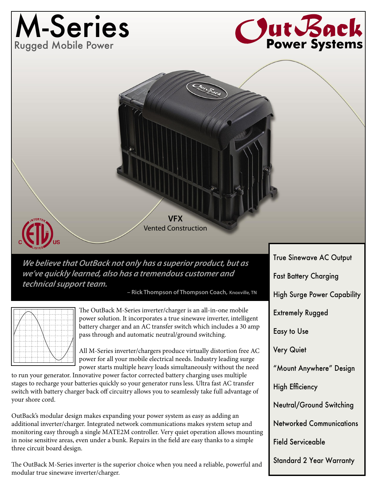## M-Series Rugged Mobile Power





**We believe that OutBack not only has a superior product, but as we've quickly learned, also has a tremendous customer and technical support team.**

**– Rick Thompson of Thompson Coach, Knoxville, TN**



The OutBack M-Series inverter/charger is an all-in-one mobile power solution. It incorporates a true sinewave inverter, intelligent battery charger and an AC transfer switch which includes a 30 amp pass through and automatic neutral/ground switching.

All M-Series inverter/chargers produce virtually distortion free AC power for all your mobile electrical needs. Industry leading surge power starts multiple heavy loads simultaneously without the need

to run your generator. Innovative power factor corrected battery charging uses multiple stages to recharge your batteries quickly so your generator runs less. Ultra fast AC transfer switch with battery charger back off circuitry allows you to seamlessly take full advantage of your shore cord.

OutBack's modular design makes expanding your power system as easy as adding an additional inverter/charger. Integrated network communications makes system setup and monitoring easy through a single MATE2M controller. Very quiet operation allows mounting in noise sensitive areas, even under a bunk. Repairs in the field are easy thanks to a simple three circuit board design.

The OutBack M-Series inverter is the superior choice when you need a reliable, powerful and modular true sinewave inverter/charger.

Fast Battery Charging High Surge Power Capability Extremely Rugged Easy to Use Very Quiet "Mount Anywhere" Design High Efficiency Neutral/Ground Switching Networked Communications Field Serviceable Standard 2 Year Warranty